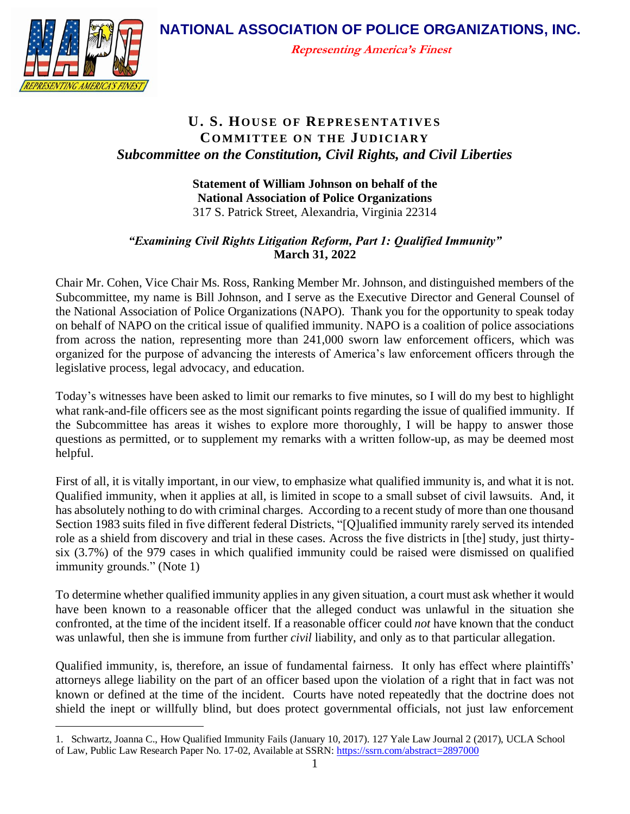**NATIONAL ASSOCIATION OF POLICE ORGANIZATIONS, INC.**



**Representing America's Finest**

## **U. S. HOUSE OF REPRESENTATIVES COMMITTEE ON THE JUDICIARY** *Subcommittee on the Constitution, Civil Rights, and Civil Liberties*

## **Statement of William Johnson on behalf of the National Association of Police Organizations** 317 S. Patrick Street, Alexandria, Virginia 22314

## *"Examining Civil Rights Litigation Reform, Part 1: Qualified Immunity"* **March 31, 2022**

Chair Mr. Cohen, Vice Chair Ms. Ross, Ranking Member Mr. Johnson, and distinguished members of the Subcommittee, my name is Bill Johnson, and I serve as the Executive Director and General Counsel of the National Association of Police Organizations (NAPO). Thank you for the opportunity to speak today on behalf of NAPO on the critical issue of qualified immunity. NAPO is a coalition of police associations from across the nation, representing more than 241,000 sworn law enforcement officers, which was organized for the purpose of advancing the interests of America's law enforcement officers through the legislative process, legal advocacy, and education.

Today's witnesses have been asked to limit our remarks to five minutes, so I will do my best to highlight what rank-and-file officers see as the most significant points regarding the issue of qualified immunity. If the Subcommittee has areas it wishes to explore more thoroughly, I will be happy to answer those questions as permitted, or to supplement my remarks with a written follow-up, as may be deemed most helpful.

First of all, it is vitally important, in our view, to emphasize what qualified immunity is, and what it is not. Qualified immunity, when it applies at all, is limited in scope to a small subset of civil lawsuits. And, it has absolutely nothing to do with criminal charges. According to a recent study of more than one thousand Section 1983 suits filed in five different federal Districts, "[Q]ualified immunity rarely served its intended role as a shield from discovery and trial in these cases. Across the five districts in [the] study, just thirtysix (3.7%) of the 979 cases in which qualified immunity could be raised were dismissed on qualified immunity grounds." (Note 1)

To determine whether qualified immunity applies in any given situation, a court must ask whether it would have been known to a reasonable officer that the alleged conduct was unlawful in the situation she confronted, at the time of the incident itself. If a reasonable officer could *not* have known that the conduct was unlawful, then she is immune from further *civil* liability, and only as to that particular allegation.

Qualified immunity, is, therefore, an issue of fundamental fairness. It only has effect where plaintiffs' attorneys allege liability on the part of an officer based upon the violation of a right that in fact was not known or defined at the time of the incident. Courts have noted repeatedly that the doctrine does not shield the inept or willfully blind, but does protect governmental officials, not just law enforcement

<sup>1.</sup> Schwartz, Joanna C., How Qualified Immunity Fails (January 10, 2017). 127 Yale Law Journal 2 (2017), UCLA School of Law, Public Law Research Paper No. 17-02, Available at SSRN: <https://ssrn.com/abstract=2897000>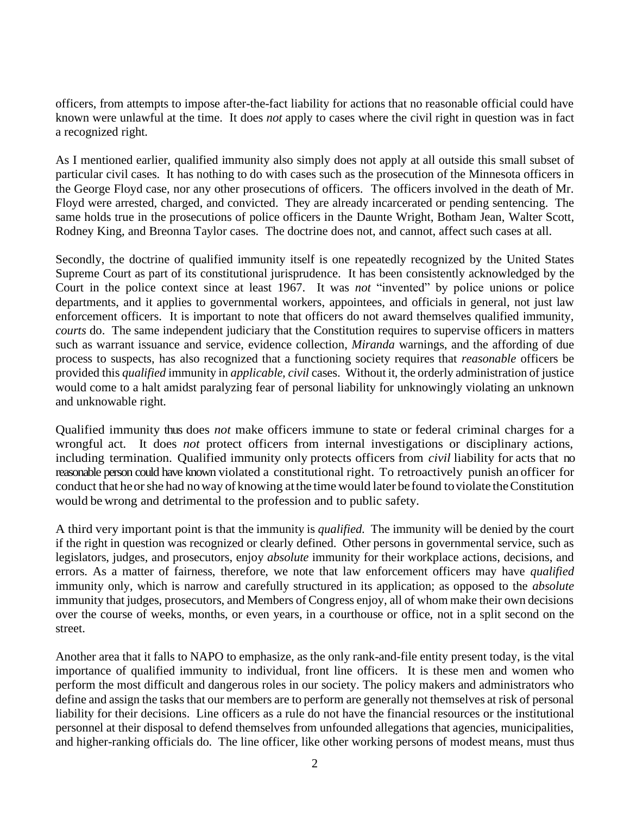officers, from attempts to impose after-the-fact liability for actions that no reasonable official could have known were unlawful at the time. It does *not* apply to cases where the civil right in question was in fact a recognized right.

As I mentioned earlier, qualified immunity also simply does not apply at all outside this small subset of particular civil cases. It has nothing to do with cases such as the prosecution of the Minnesota officers in the George Floyd case, nor any other prosecutions of officers. The officers involved in the death of Mr. Floyd were arrested, charged, and convicted. They are already incarcerated or pending sentencing. The same holds true in the prosecutions of police officers in the Daunte Wright, Botham Jean, Walter Scott, Rodney King, and Breonna Taylor cases. The doctrine does not, and cannot, affect such cases at all.

Secondly, the doctrine of qualified immunity itself is one repeatedly recognized by the United States Supreme Court as part of its constitutional jurisprudence. It has been consistently acknowledged by the Court in the police context since at least 1967. It was *not* "invented" by police unions or police departments, and it applies to governmental workers, appointees, and officials in general, not just law enforcement officers. It is important to note that officers do not award themselves qualified immunity, *courts* do. The same independent judiciary that the Constitution requires to supervise officers in matters such as warrant issuance and service, evidence collection, *Miranda* warnings, and the affording of due process to suspects, has also recognized that a functioning society requires that *reasonable* officers be provided this *qualified* immunity in *applicable, civil* cases. Without it, the orderly administration of justice would come to a halt amidst paralyzing fear of personal liability for unknowingly violating an unknown and unknowable right.

Qualified immunity thus does *not* make officers immune to state or federal criminal charges for a wrongful act. It does *not* protect officers from internal investigations or disciplinary actions, including termination. Qualified immunity only protects officers from *civil* liability for acts that no reasonable person could have known violated a constitutional right. To retroactively punish an officer for conduct that heorshe had noway of knowing atthe time would later befound toviolate theConstitution would be wrong and detrimental to the profession and to public safety.

A third very important point is that the immunity is *qualified.* The immunity will be denied by the court if the right in question was recognized or clearly defined. Other persons in governmental service, such as legislators, judges, and prosecutors, enjoy *absolute* immunity for their workplace actions, decisions, and errors. As a matter of fairness, therefore, we note that law enforcement officers may have *qualified* immunity only, which is narrow and carefully structured in its application; as opposed to the *absolute* immunity that judges, prosecutors, and Members of Congress enjoy, all of whom make their own decisions over the course of weeks, months, or even years, in a courthouse or office, not in a split second on the street.

Another area that it falls to NAPO to emphasize, as the only rank-and-file entity present today, is the vital importance of qualified immunity to individual, front line officers. It is these men and women who perform the most difficult and dangerous roles in our society. The policy makers and administrators who define and assign the tasks that our members are to perform are generally not themselves at risk of personal liability for their decisions. Line officers as a rule do not have the financial resources or the institutional personnel at their disposal to defend themselves from unfounded allegations that agencies, municipalities, and higher-ranking officials do. The line officer, like other working persons of modest means, must thus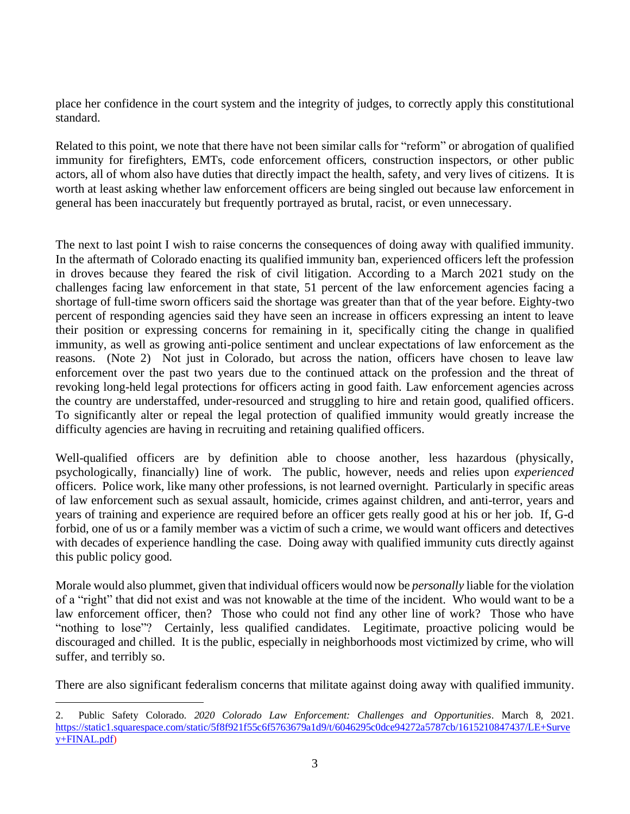place her confidence in the court system and the integrity of judges, to correctly apply this constitutional standard.

Related to this point, we note that there have not been similar calls for "reform" or abrogation of qualified immunity for firefighters, EMTs, code enforcement officers, construction inspectors, or other public actors, all of whom also have duties that directly impact the health, safety, and very lives of citizens. It is worth at least asking whether law enforcement officers are being singled out because law enforcement in general has been inaccurately but frequently portrayed as brutal, racist, or even unnecessary.

The next to last point I wish to raise concerns the consequences of doing away with qualified immunity. In the aftermath of Colorado enacting its qualified immunity ban, experienced officers left the profession in droves because they feared the risk of civil litigation. According to a March 2021 study on the challenges facing law enforcement in that state, 51 percent of the law enforcement agencies facing a shortage of full-time sworn officers said the shortage was greater than that of the year before. Eighty-two percent of responding agencies said they have seen an increase in officers expressing an intent to leave their position or expressing concerns for remaining in it, specifically citing the change in qualified immunity, as well as growing anti-police sentiment and unclear expectations of law enforcement as the reasons. (Note 2) Not just in Colorado, but across the nation, officers have chosen to leave law enforcement over the past two years due to the continued attack on the profession and the threat of revoking long-held legal protections for officers acting in good faith. Law enforcement agencies across the country are understaffed, under-resourced and struggling to hire and retain good, qualified officers. To significantly alter or repeal the legal protection of qualified immunity would greatly increase the difficulty agencies are having in recruiting and retaining qualified officers.

Well-qualified officers are by definition able to choose another, less hazardous (physically, psychologically, financially) line of work. The public, however, needs and relies upon *experienced* officers. Police work, like many other professions, is not learned overnight. Particularly in specific areas of law enforcement such as sexual assault, homicide, crimes against children, and anti-terror, years and years of training and experience are required before an officer gets really good at his or her job. If, G-d forbid, one of us or a family member was a victim of such a crime, we would want officers and detectives with decades of experience handling the case. Doing away with qualified immunity cuts directly against this public policy good.

Morale would also plummet, given that individual officers would now be *personally* liable for the violation of a "right" that did not exist and was not knowable at the time of the incident. Who would want to be a law enforcement officer, then? Those who could not find any other line of work? Those who have "nothing to lose"? Certainly, less qualified candidates. Legitimate, proactive policing would be discouraged and chilled. It is the public, especially in neighborhoods most victimized by crime, who will suffer, and terribly so.

There are also significant federalism concerns that militate against doing away with qualified immunity.

<sup>2.</sup> Public Safety Colorado. *2020 Colorado Law Enforcement: Challenges and Opportunities*. March 8, 2021. [https://static1.squarespace.com/static/5f8f921f55c6f5763679a1d9/t/6046295c0dce94272a5787cb/1615210847437/LE+Surve](https://static1.squarespace.com/static/5f8f921f55c6f5763679a1d9/t/6046295c0dce94272a5787cb/1615210847437/LE+Survey+FINAL.pdf) [y+FINAL.pdf\)](https://static1.squarespace.com/static/5f8f921f55c6f5763679a1d9/t/6046295c0dce94272a5787cb/1615210847437/LE+Survey+FINAL.pdf)